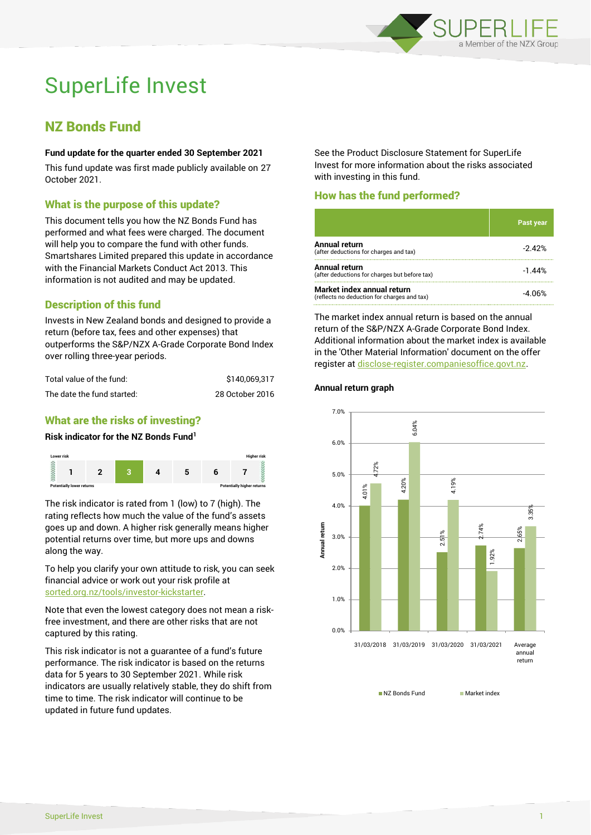

# SuperLife Invest

# NZ Bonds Fund

#### **Fund update for the quarter ended 30 September 2021**

This fund update was first made publicly available on 27 October 2021.

# What is the purpose of this update?

This document tells you how the NZ Bonds Fund has performed and what fees were charged. The document will help you to compare the fund with other funds. Smartshares Limited prepared this update in accordance with the Financial Markets Conduct Act 2013. This information is not audited and may be updated.

# Description of this fund

Invests in New Zealand bonds and designed to provide a return (before tax, fees and other expenses) that outperforms the S&P/NZX A-Grade Corporate Bond Index over rolling three-year periods.

| Total value of the fund:   | \$140.069.317   |
|----------------------------|-----------------|
| The date the fund started: | 28 October 2016 |

# What are the risks of investing?

#### **Risk indicator for the NZ Bonds Fund<sup>1</sup>**



The risk indicator is rated from 1 (low) to 7 (high). The rating reflects how much the value of the fund's assets goes up and down. A higher risk generally means higher potential returns over time, but more ups and downs along the way.

To help you clarify your own attitude to risk, you can seek financial advice or work out your risk profile at [sorted.org.nz/tools/investor-kickstarter.](http://www.sorted.org.nz/tools/investor-kickstarter)

Note that even the lowest category does not mean a riskfree investment, and there are other risks that are not captured by this rating.

This risk indicator is not a guarantee of a fund's future performance. The risk indicator is based on the returns data for 5 years to 30 September 2021. While risk indicators are usually relatively stable, they do shift from time to time. The risk indicator will continue to be updated in future fund updates.

See the Product Disclosure Statement for SuperLife Invest for more information about the risks associated with investing in this fund.

# How has the fund performed?

|                                                                           | Past year |
|---------------------------------------------------------------------------|-----------|
| Annual return<br>(after deductions for charges and tax)                   | $-2.42%$  |
| <b>Annual return</b><br>(after deductions for charges but before tax)     | $-1.44%$  |
| Market index annual return<br>(reflects no deduction for charges and tax) | -4.06%    |

The market index annual return is based on the annual return of the S&P/NZX A-Grade Corporate Bond Index. Additional information about the market index is available in the 'Other Material Information' document on the offer register a[t disclose-register.companiesoffice.govt.nz.](http://www.disclose-register.companiesoffice.govt.nz/)

#### **Annual return graph**



NZ Bonds Fund Market index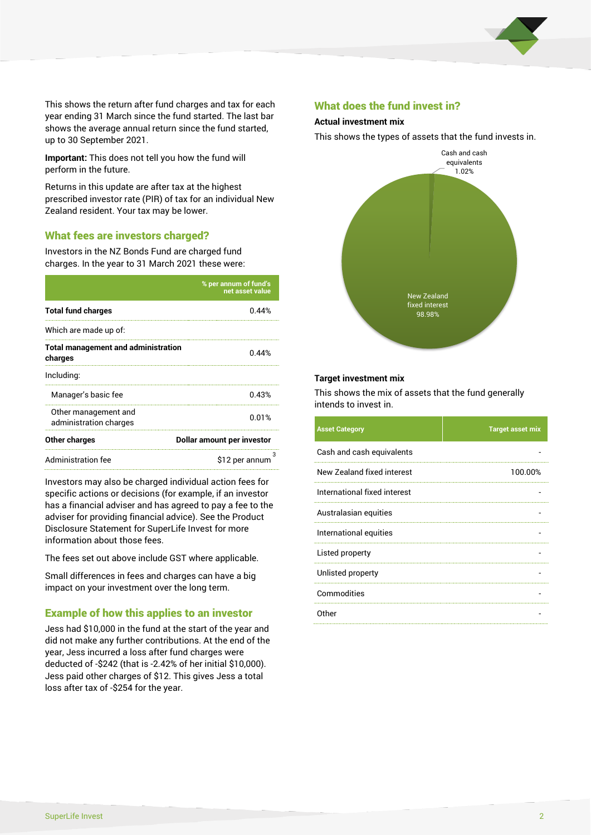

This shows the return after fund charges and tax for each year ending 31 March since the fund started. The last bar shows the average annual return since the fund started, up to 30 September 2021.

**Important:** This does not tell you how the fund will perform in the future.

Returns in this update are after tax at the highest prescribed investor rate (PIR) of tax for an individual New Zealand resident. Your tax may be lower.

# What fees are investors charged?

Investors in the NZ Bonds Fund are charged fund charges. In the year to 31 March 2021 these were:

|                                                       | % per annum of fund's<br>net asset value |  |
|-------------------------------------------------------|------------------------------------------|--|
| <b>Total fund charges</b>                             | 0.44%                                    |  |
| Which are made up of:                                 |                                          |  |
| <b>Total management and administration</b><br>charges | 0.44%                                    |  |
| Including:                                            |                                          |  |
| Manager's basic fee                                   | 0.43%                                    |  |
| Other management and<br>administration charges        | 0.01%                                    |  |
| Other charges                                         | Dollar amount per investor               |  |
| Administration fee                                    | з<br>\$12 per annum                      |  |

Investors may also be charged individual action fees for specific actions or decisions (for example, if an investor has a financial adviser and has agreed to pay a fee to the adviser for providing financial advice). See the Product Disclosure Statement for SuperLife Invest for more information about those fees.

The fees set out above include GST where applicable.

Small differences in fees and charges can have a big impact on your investment over the long term.

# Example of how this applies to an investor

Jess had \$10,000 in the fund at the start of the year and did not make any further contributions. At the end of the year, Jess incurred a loss after fund charges were deducted of -\$242 (that is -2.42% of her initial \$10,000). Jess paid other charges of \$12. This gives Jess a total loss after tax of -\$254 for the year.

#### What does the fund invest in?

#### **Actual investment mix**

This shows the types of assets that the fund invests in.



#### **Target investment mix**

This shows the mix of assets that the fund generally intends to invest in.

| <b>Asset Category</b>        | <b>Target asset mix</b> |
|------------------------------|-------------------------|
| Cash and cash equivalents    |                         |
| New Zealand fixed interest   | 100.00%                 |
| International fixed interest |                         |
| Australasian equities        |                         |
| International equities       |                         |
| Listed property              |                         |
| Unlisted property            |                         |
| Commodities                  |                         |
| Other                        |                         |